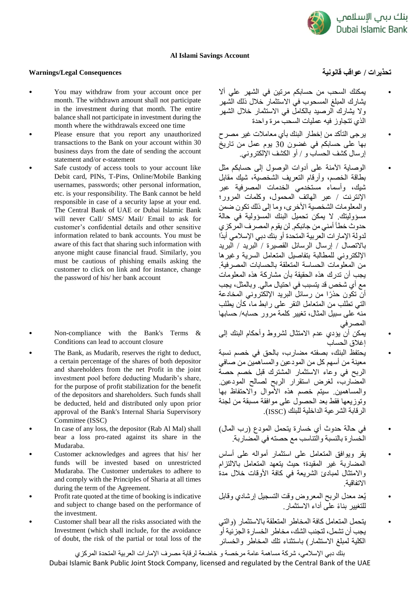

## **Al Islami Savings Account**

## **تحذيرات / عواقب قانونية Consequences Legal/Warnings**

- You may withdraw from your account once per month. The withdrawn amount shall not participate in the investment during that month. The entire balance shall not participate in investment during the month where the withdrawals exceed one time
- Please ensure that you report any unauthorized transactions to the Bank on your account within 30 business days from the date of sending the account statement and/or e-statement
- Safe custody of access tools to your account like Debit card, PINs, T-Pins, Online/Mobile Banking usernames, passwords; other personal information, etc. is your responsibility. The Bank cannot be held responsible in case of a security lapse at your end. The Central Bank of UAE or Dubai Islamic Bank will never Call/ SMS/ Mail/ Email to ask for customer's confidential details and other sensitive information related to bank accounts. You must be aware of this fact that sharing such information with anyone might cause financial fraud. Similarly, you must be cautious of phishing emails asking the customer to click on link and for instance, change the password of his/ her bank account
- Non-compliance with the Bank's Terms & Conditions can lead to account closure
- The Bank, as Mudarib, reserves the right to deduct, a certain percentage of the shares of both depositor and shareholders from the net Profit in the joint investment pool before deducting Mudarib's share, for the purpose of profit stabilization for the benefit of the depositors and shareholders. Such funds shall be deducted, held and distributed only upon prior approval of the Bank's Internal Sharia Supervisory Committee (ISSC)
- In case of any loss, the depositor (Rab Al Mal) shall bear a loss pro-rated against its share in the Mudaraba.
- Customer acknowledges and agrees that his/ her funds will be invested based on unrestricted Mudaraba. The Customer undertakes to adhere to and comply with the Principles of Sharia at all times during the term of the Agreement.
- Profit rate quoted at the time of booking is indicative and subject to change based on the performance of the investment.
- Customer shall bear all the risks associated with the Investment (which shall include, for the avoidance of doubt, the risk of the partial or total loss of the

- يمكنك السحب من حسابكم مرتين في الشهر علي أال يشارك المبلغ المسحوب في االستثمار خالل ذلك الشهر .<br>ولا يشارك الرصيد بالكامل في الاستثمار خلال الشهر الذي تتجاوز فيه عمليات السحب مرة واحدة
- يرجى التأكد من إخطار البنك بأي معامالت غير مصرح بها على حسابكم في غضون 30 يوم عمل من تاريخ إرسال كشف الحساب و / أو الكشف اإللكتروني.
- الوصاية اآلمنة على أدوات الوصول إلى حسابكم مثل بطاقة الخصم، وأرقام التعريف الشخصية، شيك مقابل شيك، وأسماء مستخدمي الخدمات المصرفية عبر اإلنترنت / عبر الهاتف المحمول، وكلمات المرور؛ والمعلومات الشخصية األخرى، وما إلى ذلك تكون ضمن مسؤوليتك. ال يمكن تحميل البنك المسؤولية في حالة حدوث خطأ أمني من جانبكم. لن يقوم المصرف المركزي لدولة اإلمارات العربية المتحدة أو بنك دبي اإلسالمي أبدًا باالتصال / إرسال الرسائل القصيرة / البريد / البريد اإللكتروني للمطالبة بتفاصيل المتعامل السرية وغيرها من المعلومات الحساسة المتعلقة بالحسابات المصرفية. يجب أن تدرك هذه الحقيقة بأن مشاركة هذه المعلومات مع أي شخص قد يتسبب في احتيال مالي. وبالمثل، يجب أن تكون حذ ًرا من رسائل البريد اإللكتروني المخادعة التي تطلب من المتعامل النقر على رابط ما، كأن يطلب منه على سبيل المثال، تغيير كلمة مرور حسابه/ حسابها المصرفي
- يمكن أن يؤدي عدم االمتثال لشروط وأحكام البنك إلى إغالق الحساب
- يحتفظ البنك، بصفته مضارب، بالحق في خصم نسبة معينة من أسهم كل من المودعين والمساهمين من صافي الربح في وعاء االستثمار المشترك قبل خصم حصة المضارب، لغرض استقرار الربح لصالح المودعين. والمساهمين. سيتم خصم هذه األموال واالحتفاظ بها وتوزيعها فقط بعد الحصول على موافقة مسبقة من لجنة الرقابة الشرعية الداخلية للبنك )ISSC).
- في حالة حدوث أي خسارة يتحمل المودع )رب المال( الخسارة بالنسبة والتناسب مع حصته في المضاربة.
- يقر ويوافق المتعامل على استثمار أمواله على أساس المضاربة غير المقيدة؛ حيث يتعهد المتعامل بااللتزام واالمتثال لمبادئ الشريعة في كافة األوقات خالل مدة االتفاقية.
- يُعد معدل الربح المعروض وقت التسجيل إرشادي وقابل للتغيير بنا ًء على أداء االستثمار.
- يتحمل المتعامل كافة المخاطر المتعلقة باالستثمار )والتي يجب أن تشمل، لتجنب الشك، مخاطر الخسارة الجزئية أو الكلية لمبلغ االستثمار( باستثناء تلك المخاطر والخسائر

بنك دبي اإلسالمي، شركة مساهمة عامة مرخصة و خاضعة لرقابة مصرف اإلمارات العربية المتحدة المركزي Dubai Islamic Bank Public Joint Stock Company, licensed and regulated by the Central Bank of the UAE